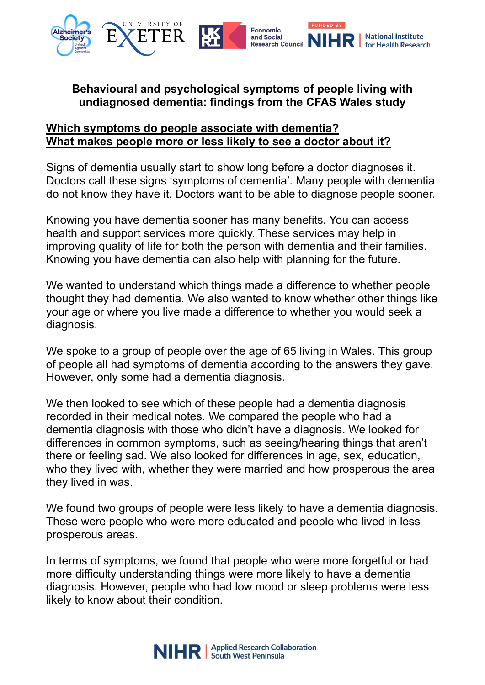

## **Behavioural and psychological symptoms of people living with undiagnosed dementia: findings from the CFAS Wales study**

## **Which symptoms do people associate with dementia? What makes people more or less likely to see a doctor about it?**

Signs of dementia usually start to show long before a doctor diagnoses it. Doctors call these signs 'symptoms of dementia'. Many people with dementia do not know they have it. Doctors want to be able to diagnose people sooner.

Knowing you have dementia sooner has many benefits. You can access health and support services more quickly. These services may help in improving quality of life for both the person with dementia and their families. Knowing you have dementia can also help with planning for the future.

We wanted to understand which things made a difference to whether people thought they had dementia. We also wanted to know whether other things like your age or where you live made a difference to whether you would seek a diagnosis.

We spoke to a group of people over the age of 65 living in Wales. This group of people all had symptoms of dementia according to the answers they gave. However, only some had a dementia diagnosis.

We then looked to see which of these people had a dementia diagnosis recorded in their medical notes. We compared the people who had a dementia diagnosis with those who didn't have a diagnosis. We looked for differences in common symptoms, such as seeing/hearing things that aren't there or feeling sad. We also looked for differences in age, sex, education, who they lived with, whether they were married and how prosperous the area they lived in was.

We found two groups of people were less likely to have a dementia diagnosis. These were people who were more educated and people who lived in less prosperous areas.

In terms of symptoms, we found that people who were more forgetful or had more difficulty understanding things were more likely to have a dementia diagnosis. However, people who had low mood or sleep problems were less likely to know about their condition.